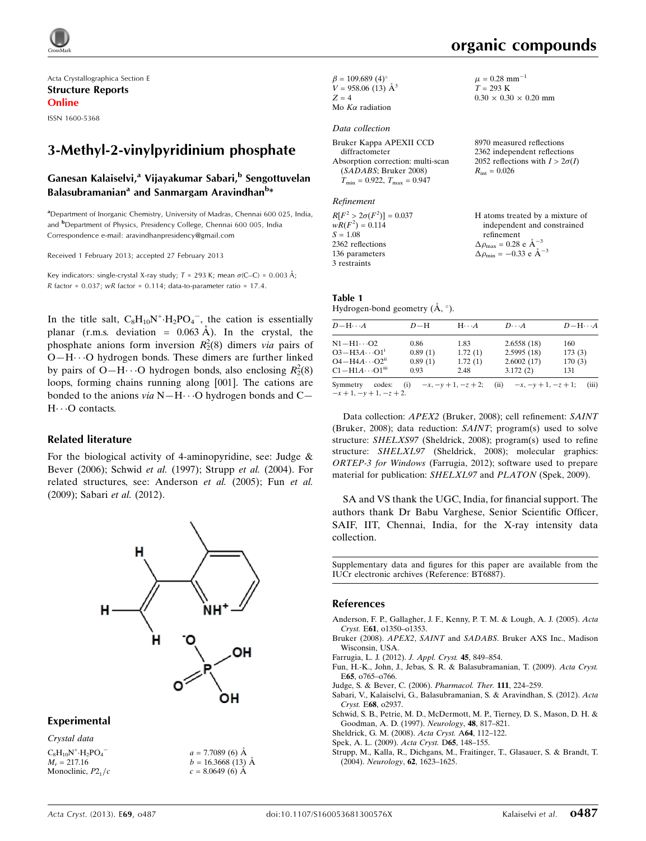

Acta Crystallographica Section E Structure Reports Online

ISSN 1600-5368

# 3-Methyl-2-vinylpyridinium phosphate

## Ganesan Kalaiselvi,<sup>a</sup> Vijayakumar Sabari,<sup>b</sup> Sengottuvelan Balasubramanian<sup>a</sup> and Sanmargam Aravindhan<sup>b</sup>\*

<sup>a</sup> Department of Inorganic Chemistry, University of Madras, Chennai 600 025, India, and <sup>b</sup>Department of Physics, Presidency College, Chennai 600 005, India Correspondence e-mail: [aravindhanpresidency@gmail.com](https://scripts.iucr.org/cgi-bin/cr.cgi?rm=pdfbb&cnor=bt6887&bbid=BB10)

Received 1 February 2013; accepted 27 February 2013

Key indicators: single-crystal X-ray study;  $T = 293$  K; mean  $\sigma$ (C–C) = 0.003 Å; R factor =  $0.037$ ; wR factor =  $0.114$ ; data-to-parameter ratio = 17.4.

In the title salt,  $C_8H_{10}N^+ \cdot H_2PO_4^-$ , the cation is essentially planar (r.m.s. deviation =  $0.063 \text{ Å}$ ). In the crystal, the phosphate anions form inversion  $R_2^2(8)$  dimers via pairs of O-H $\cdots$ O hydrogen bonds. These dimers are further linked by pairs of O-H $\cdots$ O hydrogen bonds, also enclosing  $R_2^2(8)$ loops, forming chains running along [001]. The cations are bonded to the anions  $via N-H\cdots O$  hydrogen bonds and C-H $\cdots$ O contacts.

#### Related literature

For the biological activity of 4-aminopyridine, see: Judge & Bever (2006); Schwid et al. (1997); Strupp et al. (2004). For related structures, see: Anderson et al. (2005); Fun et al. (2009); Sabari et al. (2012).



#### Experimental

Crystal data

 $C_8H_{10}N^+ \cdot H_2PO_4^ M_r = 217.16$ Monoclinic,  $P2<sub>1</sub>/c$   $a = 7.7089(6)$  Å  $b = 16.3668(13)$  Å  $c = 8.0649(6)$  Å

 $\beta = 109.689$  (4)<sup>o</sup>  $V = 958.06(13)$   $\AA^3$  $Z = 4$ Mo  $K\alpha$  radiation

## Data collection

| Bruker Kappa APEXII CCD              |  |  |  |  |
|--------------------------------------|--|--|--|--|
| diffractometer                       |  |  |  |  |
| Absorption correction: multi-scan    |  |  |  |  |
| (SADABS; Bruker 2008)                |  |  |  |  |
| $T_{\min} = 0.922, T_{\max} = 0.947$ |  |  |  |  |

#### Refinement

| $R[F^2 > 2\sigma(F^2)] = 0.037$ | H atoms treated by a mixture of                    |
|---------------------------------|----------------------------------------------------|
| $wR(F^2) = 0.114$               | independent and constrained                        |
| $S = 1.08$                      | refinement                                         |
| 2362 reflections                | $\Delta \rho_{\text{max}} = 0.28 \text{ e A}^{-3}$ |
| 136 parameters                  | $\Delta \rho_{\text{min}} = -0.33$ e $\AA^{-3}$    |
| 3 restraints                    |                                                    |

#### Table 1 Hydrogen-bond geometry  $(\AA, \degree)$ .

 $D - H \cdots$  $D-H$ -- $A$   $D \cdots$  $A$   $D-H\cdots A$  $\rm N1 - H1 \cdots$ 0.86 1.83 2.6558 (18) 160<br>0.89 (1) 1.72 (1) 2.5995 (18) 173 (3)  $O3 - H3A \cdots$ 0.89 (1) 1.72 (1) 2.5995 (18) 173 (3)<br>0.89 (1) 1.72 (1) 2.6002 (17) 170 (3)  $O4 - H4A \cdots$  $\begin{array}{cccc} 0.89 & (1) & 1.72 & (1) & 2.6002 & (17) \\ 0.93 & 2.48 & 3.172 & (2) \end{array}$  $C1 - H1A \cdots$ 2.48 3.172 (2) 131 Symmetry codes: (i)  $-x, -y + 1, -z + 2$ ; (ii)  $-x, -y + 1, -z + 1$ ; (iii)

 $-x+1, -y+1, -z+2.$ 

Data collection: APEX2 (Bruker, 2008); cell refinement: SAINT (Bruker, 2008); data reduction: SAINT; program(s) used to solve structure: SHELXS97 (Sheldrick, 2008); program(s) used to refine structure: SHELXL97 (Sheldrick, 2008); molecular graphics: ORTEP-3 for Windows (Farrugia, 2012); software used to prepare material for publication: SHELXL97 and PLATON (Spek, 2009).

SA and VS thank the UGC, India, for financial support. The authors thank Dr Babu Varghese, Senior Scientific Officer, SAIF, IIT, Chennai, India, for the X-ray intensity data collection.

Supplementary data and figures for this paper are available from the IUCr electronic archives (Reference: BT6887).

#### References

- [Anderson, F. P., Gallagher, J. F., Kenny, P. T. M. & Lough, A. J. \(2005\).](https://scripts.iucr.org/cgi-bin/cr.cgi?rm=pdfbb&cnor=bt6887&bbid=BB1) Acta Cryst. E61[, o1350–o1353.](https://scripts.iucr.org/cgi-bin/cr.cgi?rm=pdfbb&cnor=bt6887&bbid=BB1)
- Bruker (2008). APEX2, SAINT and SADABS[. Bruker AXS Inc., Madison](https://scripts.iucr.org/cgi-bin/cr.cgi?rm=pdfbb&cnor=bt6887&bbid=BB2) [Wisconsin, USA.](https://scripts.iucr.org/cgi-bin/cr.cgi?rm=pdfbb&cnor=bt6887&bbid=BB2)
- [Farrugia, L. J. \(2012\).](https://scripts.iucr.org/cgi-bin/cr.cgi?rm=pdfbb&cnor=bt6887&bbid=BB3) J. Appl. Cryst. 45, 849–854.
- [Fun, H.-K., John, J., Jebas, S. R. & Balasubramanian, T. \(2009\).](https://scripts.iucr.org/cgi-bin/cr.cgi?rm=pdfbb&cnor=bt6887&bbid=BB4) Acta Cryst. E65[, o765–o766.](https://scripts.iucr.org/cgi-bin/cr.cgi?rm=pdfbb&cnor=bt6887&bbid=BB4)
- [Judge, S. & Bever, C. \(2006\).](https://scripts.iucr.org/cgi-bin/cr.cgi?rm=pdfbb&cnor=bt6887&bbid=BB5) Pharmacol. Ther. 111, 224–259.
- [Sabari, V., Kalaiselvi, G., Balasubramanian, S. & Aravindhan, S. \(2012\).](https://scripts.iucr.org/cgi-bin/cr.cgi?rm=pdfbb&cnor=bt6887&bbid=BB6) Acta Cryst. E68[, o2937.](https://scripts.iucr.org/cgi-bin/cr.cgi?rm=pdfbb&cnor=bt6887&bbid=BB6)
- [Schwid, S. B., Petrie, M. D., McDermott, M. P., Tierney, D. S., Mason, D. H. &](https://scripts.iucr.org/cgi-bin/cr.cgi?rm=pdfbb&cnor=bt6887&bbid=BB7) [Goodman, A. D. \(1997\).](https://scripts.iucr.org/cgi-bin/cr.cgi?rm=pdfbb&cnor=bt6887&bbid=BB7) Neurology, 48, 817–821.
- [Sheldrick, G. M. \(2008\).](https://scripts.iucr.org/cgi-bin/cr.cgi?rm=pdfbb&cnor=bt6887&bbid=BB8) Acta Cryst. A64, 112–122.
- [Spek, A. L. \(2009\).](https://scripts.iucr.org/cgi-bin/cr.cgi?rm=pdfbb&cnor=bt6887&bbid=BB9) Acta Cryst. D65, 148–155.
- [Strupp, M., Kalla, R., Dichgans, M., Fraitinger, T., Glasauer, S. & Brandt, T.](https://scripts.iucr.org/cgi-bin/cr.cgi?rm=pdfbb&cnor=bt6887&bbid=BB10) (2004). Neurology, 62[, 1623–1625.](https://scripts.iucr.org/cgi-bin/cr.cgi?rm=pdfbb&cnor=bt6887&bbid=BB10)

 $\mu = 0.28$  mm<sup>-1</sup>  $T = 293 \text{ K}$ 

 $R_{\text{int}} = 0.026$ 

 $0.30 \times 0.30 \times 0.20$  mm

8970 measured reflections 2362 independent reflections 2052 reflections with  $I > 2\sigma(I)$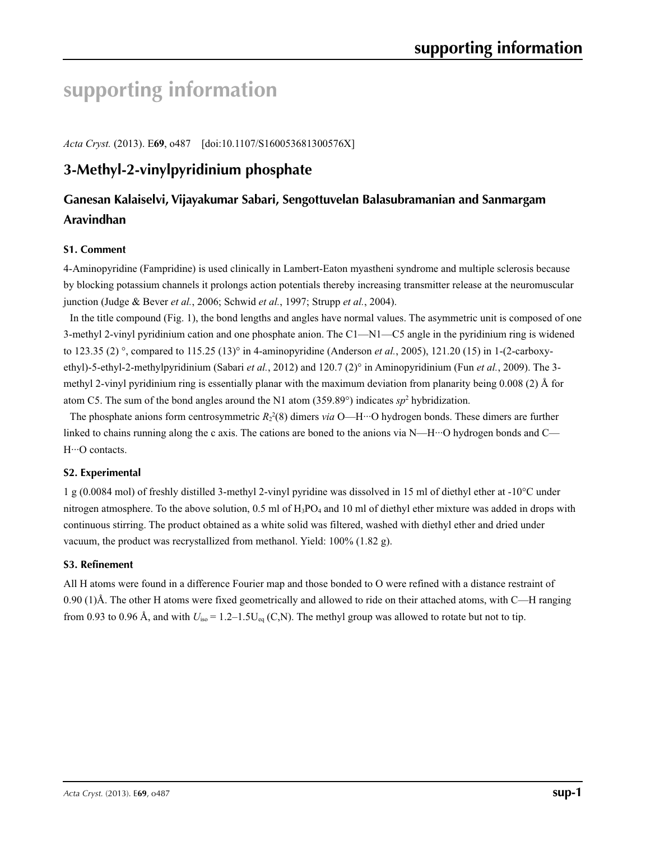# **supporting information**

*Acta Cryst.* (2013). E**69**, o487 [doi:10.1107/S160053681300576X]

# **3-Methyl-2-vinylpyridinium phosphate**

# **Ganesan Kalaiselvi, Vijayakumar Sabari, Sengottuvelan Balasubramanian and Sanmargam Aravindhan**

## **S1. Comment**

4-Aminopyridine (Fampridine) is used clinically in Lambert-Eaton myastheni syndrome and multiple sclerosis because by blocking potassium channels it prolongs action potentials thereby increasing transmitter release at the neuromuscular junction (Judge & Bever *et al.*, 2006; Schwid *et al.*, 1997; Strupp *et al.*, 2004).

In the title compound (Fig. 1), the bond lengths and angles have normal values. The asymmetric unit is composed of one 3-methyl 2-vinyl pyridinium cation and one phosphate anion. The C1—N1—C5 angle in the pyridinium ring is widened to 123.35 (2) °, compared to 115.25 (13)° in 4-aminopyridine (Anderson *et al.*, 2005), 121.20 (15) in 1-(2-carboxyethyl)-5-ethyl-2-methylpyridinium (Sabari *et al.*, 2012) and 120.7 (2)° in Aminopyridinium (Fun *et al.*, 2009). The 3 methyl 2-vinyl pyridinium ring is essentially planar with the maximum deviation from planarity being 0.008 (2) Å for atom C5. The sum of the bond angles around the N1 atom  $(359.89^\circ)$  indicates *sp*<sup>2</sup> hybridization.

The phosphate anions form centrosymmetric  $R_2^2(8)$  dimers *via* O—H···O hydrogen bonds. These dimers are further linked to chains running along the c axis. The cations are boned to the anions via N—H···O hydrogen bonds and C— H···O contacts.

#### **S2. Experimental**

1 g (0.0084 mol) of freshly distilled 3-methyl 2-vinyl pyridine was dissolved in 15 ml of diethyl ether at -10°C under nitrogen atmosphere. To the above solution,  $0.5$  ml of  $H_3PO_4$  and 10 ml of diethyl ether mixture was added in drops with continuous stirring. The product obtained as a white solid was filtered, washed with diethyl ether and dried under vacuum, the product was recrystallized from methanol. Yield: 100% (1.82 g).

# **S3. Refinement**

All H atoms were found in a difference Fourier map and those bonded to O were refined with a distance restraint of 0.90 (1)Å. The other H atoms were fixed geometrically and allowed to ride on their attached atoms, with C—H ranging from 0.93 to 0.96 Å, and with  $U_{\text{iso}} = 1.2-1.5U_{\text{eq}}(C, N)$ . The methyl group was allowed to rotate but not to tip.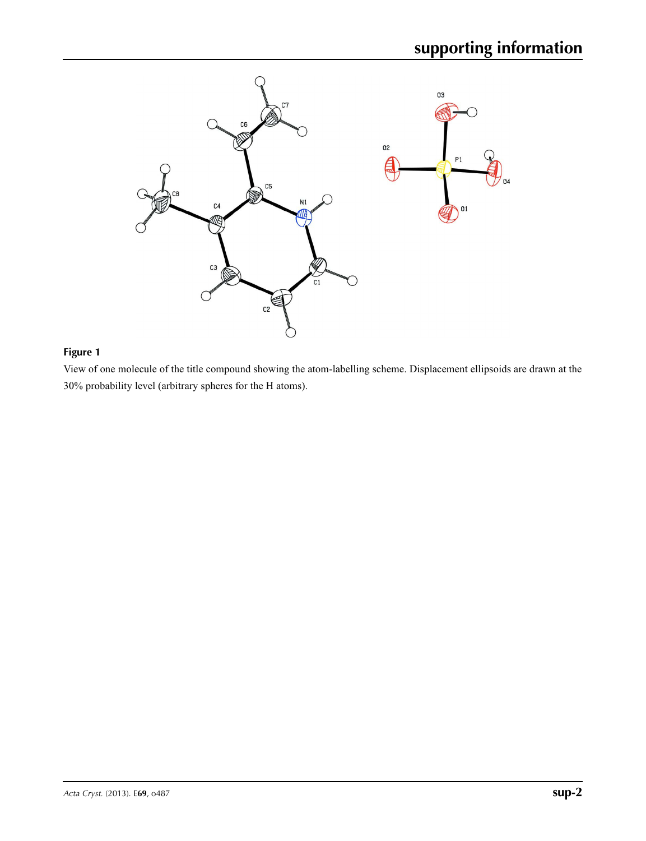

# **Figure 1**

View of one molecule of the title compound showing the atom-labelling scheme. Displacement ellipsoids are drawn at the 30% probability level (arbitrary spheres for the H atoms).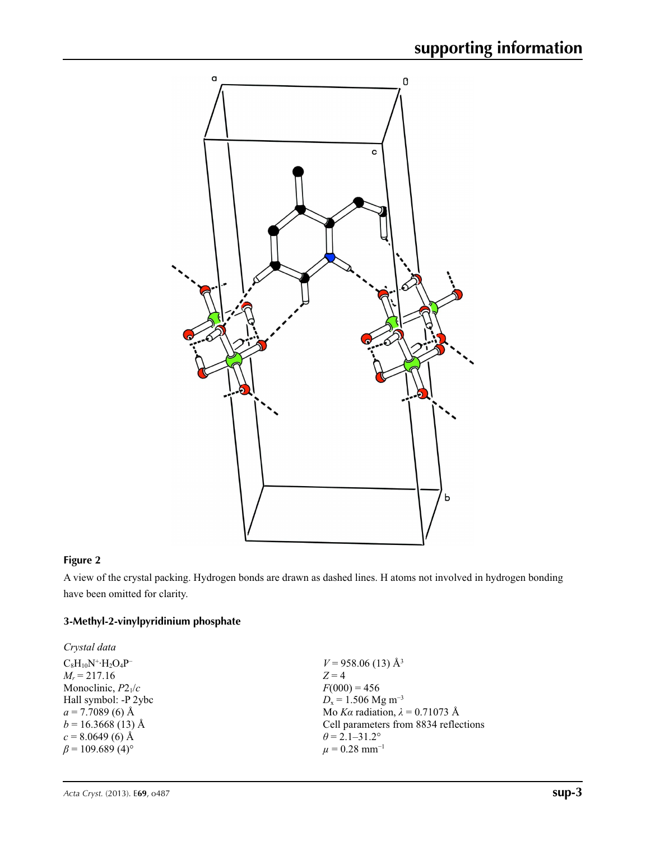

# **Figure 2**

A view of the crystal packing. Hydrogen bonds are drawn as dashed lines. H atoms not involved in hydrogen bonding have been omitted for clarity.

# **3-Methyl-2-vinylpyridinium phosphate**

| Crystal data                       |                                        |
|------------------------------------|----------------------------------------|
| $C_8H_{10}N^+ \cdot H_2O_4P^-$     | $V = 958.06(13)$ Å <sup>3</sup>        |
| $M_r = 217.16$                     | $Z=4$                                  |
| Monoclinic, $P2_1/c$               | $F(000) = 456$                         |
| Hall symbol: -P 2ybc               | $D_x = 1.506$ Mg m <sup>-3</sup>       |
| $a = 7.7089$ (6) Å                 | Mo Ka radiation, $\lambda = 0.71073$ Å |
| $b = 16.3668(13)$ Å                | Cell parameters from 8834 reflections  |
| $c = 8.0649(6)$ Å                  | $\theta$ = 2.1–31.2°                   |
| $\beta$ = 109.689 (4) <sup>o</sup> | $\mu = 0.28$ mm <sup>-1</sup>          |
|                                    |                                        |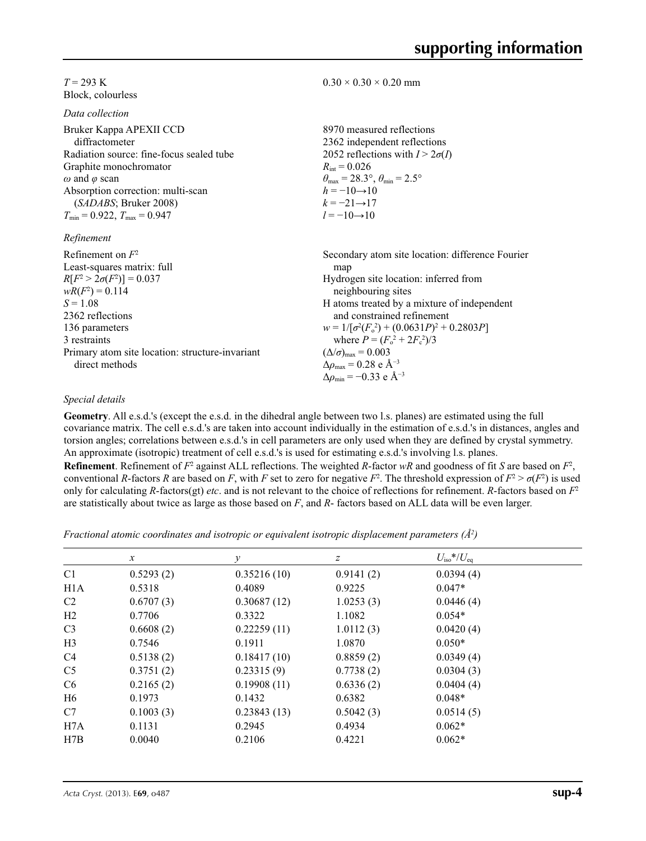#### $T = 293 \text{ K}$ Block, colourless

*Data collection*

| 8970 measured reflections<br>2362 independent reflections               |
|-------------------------------------------------------------------------|
| 2052 reflections with $I > 2\sigma(I)$                                  |
| $R_{\rm int} = 0.026$                                                   |
| $\theta_{\text{max}} = 28.3^{\circ}, \theta_{\text{min}} = 2.5^{\circ}$ |
| $h = -10 \rightarrow 10$                                                |
| $k = -21 \rightarrow 17$                                                |
| $l = -10 \rightarrow 10$                                                |
|                                                                         |
| Secondary atom site location: difference Fourier                        |
| map                                                                     |
| Hydrogen site location: inferred from                                   |
| neighbouring sites                                                      |
| H atoms treated by a mixture of independent                             |
| and constrained refinement                                              |
|                                                                         |

136 parameters 3 restraints Primary atom site location: structure-invariant direct methods

#### $0.30 \times 0.30 \times 0.20$  mm

H atoms treated by a mixture of independent and constrained refinement  $w = 1/[\sigma^2 (F_o^2) + (0.0631P)^2 + 0.2803P]$ where  $P = (F_o^2 + 2F_c^2)/3$  $(\Delta/\sigma)_{\text{max}} = 0.003$  $\Delta\rho_{\text{max}}$  = 0.28 e Å<sup>-3</sup>

#### *Special details*

**Geometry**. All e.s.d.'s (except the e.s.d. in the dihedral angle between two l.s. planes) are estimated using the full covariance matrix. The cell e.s.d.'s are taken into account individually in the estimation of e.s.d.'s in distances, angles and torsion angles; correlations between e.s.d.'s in cell parameters are only used when they are defined by crystal symmetry. An approximate (isotropic) treatment of cell e.s.d.'s is used for estimating e.s.d.'s involving l.s. planes.

Δ*ρ*min = −0.33 e Å−3

**Refinement**. Refinement of  $F^2$  against ALL reflections. The weighted *R*-factor  $wR$  and goodness of fit *S* are based on  $F^2$ , conventional *R*-factors *R* are based on *F*, with *F* set to zero for negative  $F^2$ . The threshold expression of  $F^2 > \sigma(F^2)$  is used only for calculating *R*-factors(gt) *etc*. and is not relevant to the choice of reflections for refinement. *R*-factors based on *F*<sup>2</sup> are statistically about twice as large as those based on *F*, and *R*- factors based on ALL data will be even larger.

*Fractional atomic coordinates and isotropic or equivalent isotropic displacement parameters (Å<sup>2</sup>)* 

|                | $\mathcal{X}$ | v           | Ζ         | $U_{\rm iso}$ */ $U_{\rm eq}$ |  |
|----------------|---------------|-------------|-----------|-------------------------------|--|
| C <sub>1</sub> | 0.5293(2)     | 0.35216(10) | 0.9141(2) | 0.0394(4)                     |  |
| H1A            | 0.5318        | 0.4089      | 0.9225    | $0.047*$                      |  |
| C <sub>2</sub> | 0.6707(3)     | 0.30687(12) | 1.0253(3) | 0.0446(4)                     |  |
| H2             | 0.7706        | 0.3322      | 1.1082    | $0.054*$                      |  |
| C <sub>3</sub> | 0.6608(2)     | 0.22259(11) | 1.0112(3) | 0.0420(4)                     |  |
| H <sub>3</sub> | 0.7546        | 0.1911      | 1.0870    | $0.050*$                      |  |
| C <sub>4</sub> | 0.5138(2)     | 0.18417(10) | 0.8859(2) | 0.0349(4)                     |  |
| C <sub>5</sub> | 0.3751(2)     | 0.23315(9)  | 0.7738(2) | 0.0304(3)                     |  |
| C <sub>6</sub> | 0.2165(2)     | 0.19908(11) | 0.6336(2) | 0.0404(4)                     |  |
| H6             | 0.1973        | 0.1432      | 0.6382    | $0.048*$                      |  |
| C7             | 0.1003(3)     | 0.23843(13) | 0.5042(3) | 0.0514(5)                     |  |
| H7A            | 0.1131        | 0.2945      | 0.4934    | $0.062*$                      |  |
| H7B            | 0.0040        | 0.2106      | 0.4221    | $0.062*$                      |  |
|                |               |             |           |                               |  |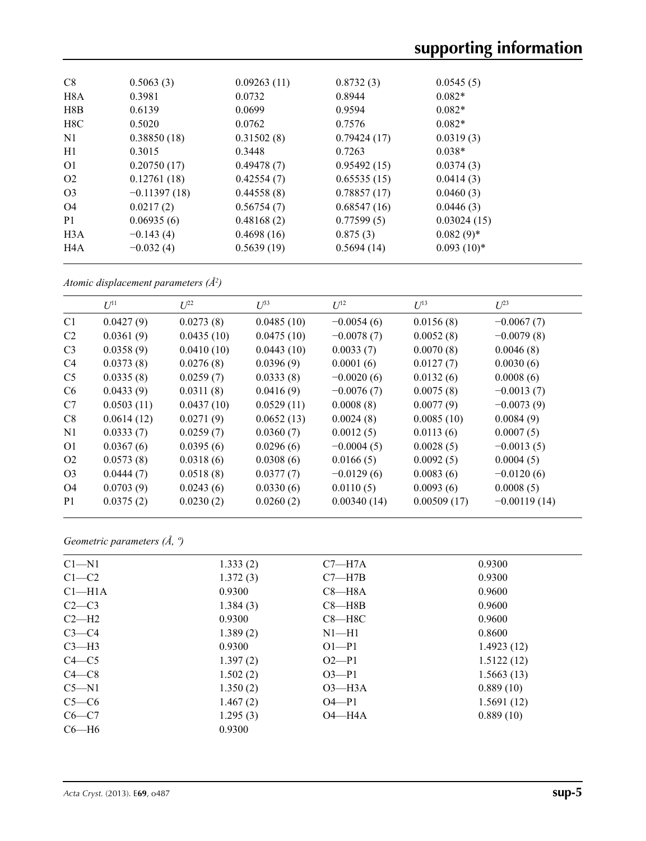| C8               | 0.5063(3)      | 0.09263(11) | 0.8732(3)   | 0.0545(5)    |
|------------------|----------------|-------------|-------------|--------------|
| H8A              | 0.3981         | 0.0732      | 0.8944      | $0.082*$     |
| H8B              | 0.6139         | 0.0699      | 0.9594      | $0.082*$     |
| H8C              | 0.5020         | 0.0762      | 0.7576      | $0.082*$     |
| N1               | 0.38850(18)    | 0.31502(8)  | 0.79424(17) | 0.0319(3)    |
| H1               | 0.3015         | 0.3448      | 0.7263      | $0.038*$     |
| O <sub>1</sub>   | 0.20750(17)    | 0.49478(7)  | 0.95492(15) | 0.0374(3)    |
| O <sub>2</sub>   | 0.12761(18)    | 0.42554(7)  | 0.65535(15) | 0.0414(3)    |
| O <sub>3</sub>   | $-0.11397(18)$ | 0.44558(8)  | 0.78857(17) | 0.0460(3)    |
| O <sub>4</sub>   | 0.0217(2)      | 0.56754(7)  | 0.68547(16) | 0.0446(3)    |
| P <sub>1</sub>   | 0.06935(6)     | 0.48168(2)  | 0.77599(5)  | 0.03024(15)  |
| H <sub>3</sub> A | $-0.143(4)$    | 0.4698(16)  | 0.875(3)    | $0.082(9)*$  |
| H <sub>4</sub> A | $-0.032(4)$    | 0.5639(19)  | 0.5694(14)  | $0.093(10)*$ |

*Atomic displacement parameters (Å2 )*

|                | $U^{11}$   | $L^{22}$   | $U^{33}$   | $U^{12}$     | $U^{13}$    | $U^{23}$       |
|----------------|------------|------------|------------|--------------|-------------|----------------|
| C <sub>1</sub> | 0.0427(9)  | 0.0273(8)  | 0.0485(10) | $-0.0054(6)$ | 0.0156(8)   | $-0.0067(7)$   |
| C <sub>2</sub> | 0.0361(9)  | 0.0435(10) | 0.0475(10) | $-0.0078(7)$ | 0.0052(8)   | $-0.0079(8)$   |
| C <sub>3</sub> | 0.0358(9)  | 0.0410(10) | 0.0443(10) | 0.0033(7)    | 0.0070(8)   | 0.0046(8)      |
| C4             | 0.0373(8)  | 0.0276(8)  | 0.0396(9)  | 0.0001(6)    | 0.0127(7)   | 0.0030(6)      |
| C <sub>5</sub> | 0.0335(8)  | 0.0259(7)  | 0.0333(8)  | $-0.0020(6)$ | 0.0132(6)   | 0.0008(6)      |
| C <sub>6</sub> | 0.0433(9)  | 0.0311(8)  | 0.0416(9)  | $-0.0076(7)$ | 0.0075(8)   | $-0.0013(7)$   |
| C7             | 0.0503(11) | 0.0437(10) | 0.0529(11) | 0.0008(8)    | 0.0077(9)   | $-0.0073(9)$   |
| C8             | 0.0614(12) | 0.0271(9)  | 0.0652(13) | 0.0024(8)    | 0.0085(10)  | 0.0084(9)      |
| N1             | 0.0333(7)  | 0.0259(7)  | 0.0360(7)  | 0.0012(5)    | 0.0113(6)   | 0.0007(5)      |
| O <sub>1</sub> | 0.0367(6)  | 0.0395(6)  | 0.0296(6)  | $-0.0004(5)$ | 0.0028(5)   | $-0.0013(5)$   |
| O <sub>2</sub> | 0.0573(8)  | 0.0318(6)  | 0.0308(6)  | 0.0166(5)    | 0.0092(5)   | 0.0004(5)      |
| O <sub>3</sub> | 0.0444(7)  | 0.0518(8)  | 0.0377(7)  | $-0.0129(6)$ | 0.0083(6)   | $-0.0120(6)$   |
| O <sub>4</sub> | 0.0703(9)  | 0.0243(6)  | 0.0330(6)  | 0.0110(5)    | 0.0093(6)   | 0.0008(5)      |
| P <sub>1</sub> | 0.0375(2)  | 0.0230(2)  | 0.0260(2)  | 0.00340(14)  | 0.00509(17) | $-0.00119(14)$ |

*Geometric parameters (Å, º)*

| $Cl - N1$          | 1.333(2) | $C7 - H7A$ | 0.9300     |
|--------------------|----------|------------|------------|
| $C1-C2$            | 1.372(3) | $C7 - H7B$ | 0.9300     |
| Cl <sub>–H1A</sub> | 0.9300   | $C8 - H8A$ | 0.9600     |
| $C2-C3$            | 1.384(3) | $C8 - H8B$ | 0.9600     |
| $C2-H2$            | 0.9300   | $C8 - H8C$ | 0.9600     |
| $C3-C4$            | 1.389(2) | $N1-H1$    | 0.8600     |
| $C3-H3$            | 0.9300   | $O1-P1$    | 1.4923(12) |
| $C4 - C5$          | 1.397(2) | $O2-P1$    | 1.5122(12) |
| $C4 - C8$          | 1.502(2) | $O3 - P1$  | 1.5663(13) |
| $C5-M1$            | 1.350(2) | $O3$ —H3A  | 0.889(10)  |
| $C5-C6$            | 1.467(2) | $O4 - P1$  | 1.5691(12) |
| $C6-C7$            | 1.295(3) | $O4 - H4A$ | 0.889(10)  |
| $C6 - H6$          | 0.9300   |            |            |